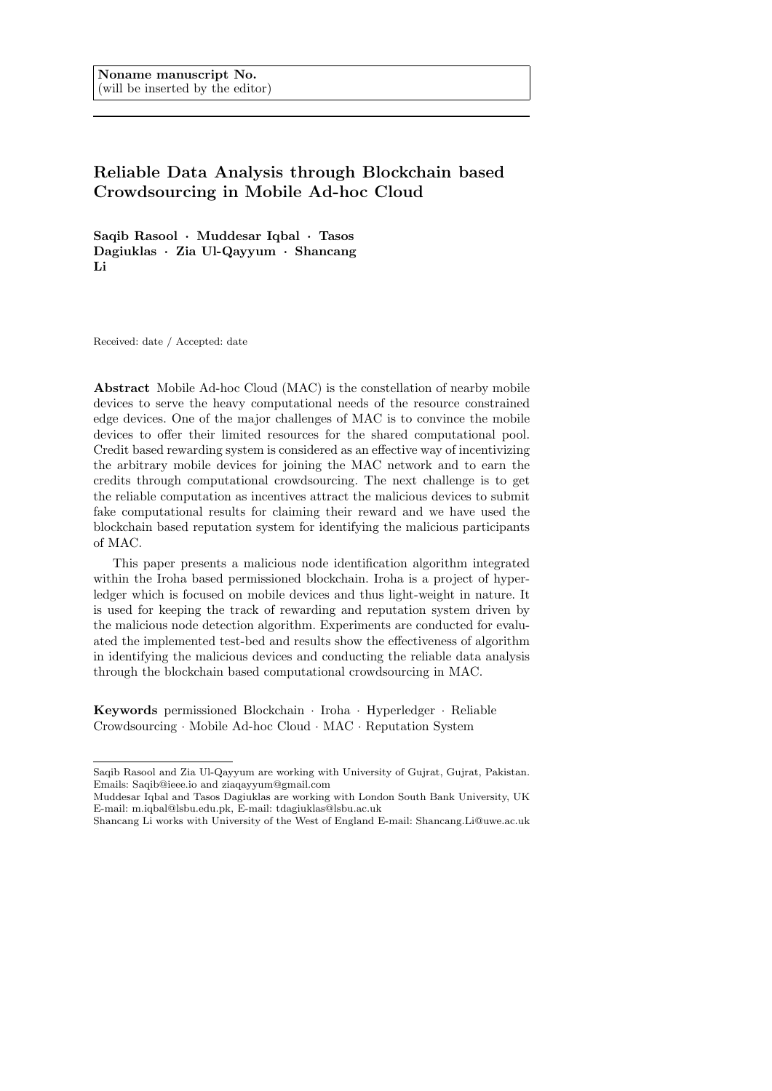# Reliable Data Analysis through Blockchain based Crowdsourcing in Mobile Ad-hoc Cloud

Saqib Rasool · Muddesar Iqbal · Tasos Dagiuklas · Zia Ul-Qayyum · Shancang Li

Received: date / Accepted: date

Abstract Mobile Ad-hoc Cloud (MAC) is the constellation of nearby mobile devices to serve the heavy computational needs of the resource constrained edge devices. One of the major challenges of MAC is to convince the mobile devices to offer their limited resources for the shared computational pool. Credit based rewarding system is considered as an effective way of incentivizing the arbitrary mobile devices for joining the MAC network and to earn the credits through computational crowdsourcing. The next challenge is to get the reliable computation as incentives attract the malicious devices to submit fake computational results for claiming their reward and we have used the blockchain based reputation system for identifying the malicious participants of MAC.

This paper presents a malicious node identification algorithm integrated within the Iroha based permissioned blockchain. Iroha is a project of hyperledger which is focused on mobile devices and thus light-weight in nature. It is used for keeping the track of rewarding and reputation system driven by the malicious node detection algorithm. Experiments are conducted for evaluated the implemented test-bed and results show the effectiveness of algorithm in identifying the malicious devices and conducting the reliable data analysis through the blockchain based computational crowdsourcing in MAC.

Keywords permissioned Blockchain · Iroha · Hyperledger · Reliable Crowdsourcing · Mobile Ad-hoc Cloud · MAC · Reputation System

Saqib Rasool and Zia Ul-Qayyum are working with University of Gujrat, Gujrat, Pakistan. Emails: Saqib@ieee.io and ziaqayyum@gmail.com

Muddesar Iqbal and Tasos Dagiuklas are working with London South Bank University, UK E-mail: m.iqbal@lsbu.edu.pk, E-mail: tdagiuklas@lsbu.ac.uk

Shancang Li works with University of the West of England E-mail: Shancang.Li@uwe.ac.uk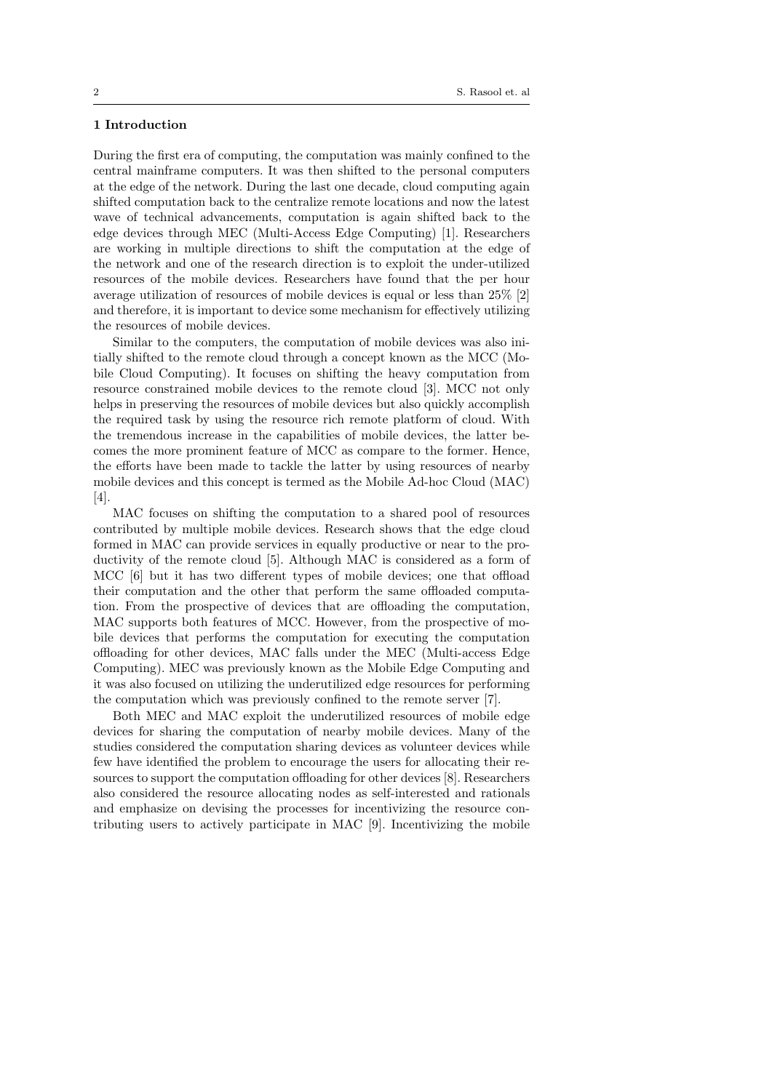# 1 Introduction

During the first era of computing, the computation was mainly confined to the central mainframe computers. It was then shifted to the personal computers at the edge of the network. During the last one decade, cloud computing again shifted computation back to the centralize remote locations and now the latest wave of technical advancements, computation is again shifted back to the edge devices through MEC (Multi-Access Edge Computing) [1]. Researchers are working in multiple directions to shift the computation at the edge of the network and one of the research direction is to exploit the under-utilized resources of the mobile devices. Researchers have found that the per hour average utilization of resources of mobile devices is equal or less than 25% [2] and therefore, it is important to device some mechanism for effectively utilizing the resources of mobile devices.

Similar to the computers, the computation of mobile devices was also initially shifted to the remote cloud through a concept known as the MCC (Mobile Cloud Computing). It focuses on shifting the heavy computation from resource constrained mobile devices to the remote cloud [3]. MCC not only helps in preserving the resources of mobile devices but also quickly accomplish the required task by using the resource rich remote platform of cloud. With the tremendous increase in the capabilities of mobile devices, the latter becomes the more prominent feature of MCC as compare to the former. Hence, the efforts have been made to tackle the latter by using resources of nearby mobile devices and this concept is termed as the Mobile Ad-hoc Cloud (MAC) [4].

MAC focuses on shifting the computation to a shared pool of resources contributed by multiple mobile devices. Research shows that the edge cloud formed in MAC can provide services in equally productive or near to the productivity of the remote cloud [5]. Although MAC is considered as a form of MCC [6] but it has two different types of mobile devices; one that offload their computation and the other that perform the same offloaded computation. From the prospective of devices that are offloading the computation, MAC supports both features of MCC. However, from the prospective of mobile devices that performs the computation for executing the computation offloading for other devices, MAC falls under the MEC (Multi-access Edge Computing). MEC was previously known as the Mobile Edge Computing and it was also focused on utilizing the underutilized edge resources for performing the computation which was previously confined to the remote server [7].

Both MEC and MAC exploit the underutilized resources of mobile edge devices for sharing the computation of nearby mobile devices. Many of the studies considered the computation sharing devices as volunteer devices while few have identified the problem to encourage the users for allocating their resources to support the computation offloading for other devices [8]. Researchers also considered the resource allocating nodes as self-interested and rationals and emphasize on devising the processes for incentivizing the resource contributing users to actively participate in MAC [9]. Incentivizing the mobile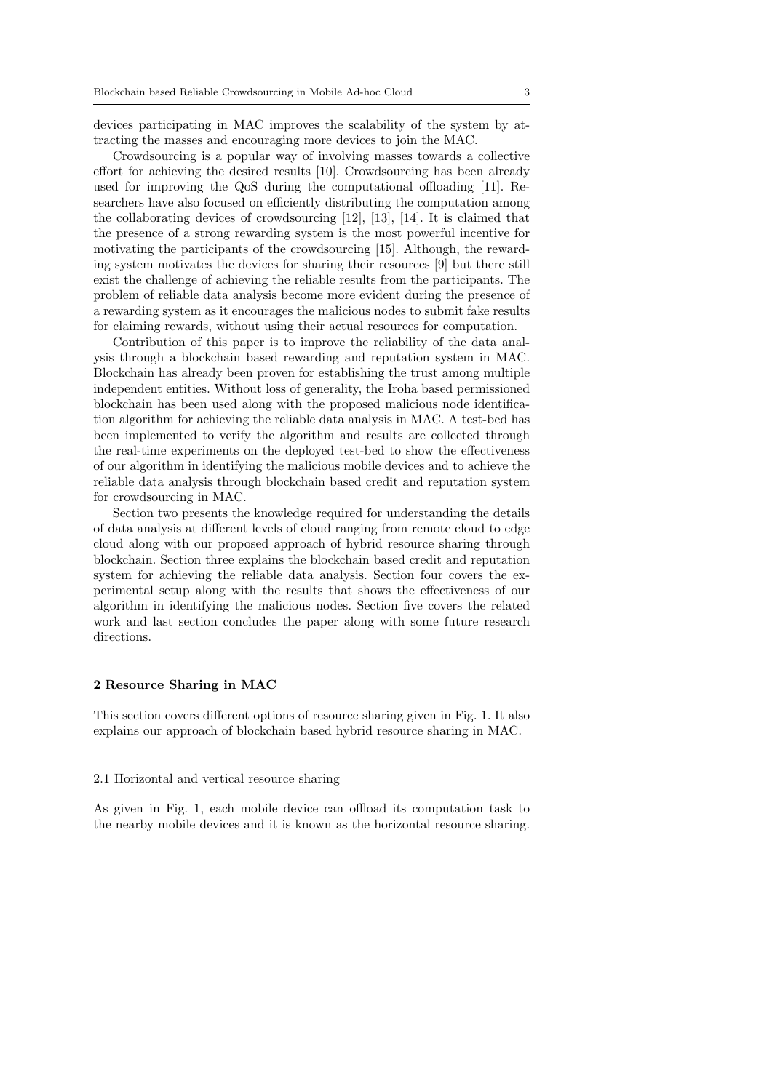devices participating in MAC improves the scalability of the system by attracting the masses and encouraging more devices to join the MAC.

Crowdsourcing is a popular way of involving masses towards a collective effort for achieving the desired results [10]. Crowdsourcing has been already used for improving the QoS during the computational offloading [11]. Researchers have also focused on efficiently distributing the computation among the collaborating devices of crowdsourcing [12], [13], [14]. It is claimed that the presence of a strong rewarding system is the most powerful incentive for motivating the participants of the crowdsourcing [15]. Although, the rewarding system motivates the devices for sharing their resources [9] but there still exist the challenge of achieving the reliable results from the participants. The problem of reliable data analysis become more evident during the presence of a rewarding system as it encourages the malicious nodes to submit fake results for claiming rewards, without using their actual resources for computation.

Contribution of this paper is to improve the reliability of the data analysis through a blockchain based rewarding and reputation system in MAC. Blockchain has already been proven for establishing the trust among multiple independent entities. Without loss of generality, the Iroha based permissioned blockchain has been used along with the proposed malicious node identification algorithm for achieving the reliable data analysis in MAC. A test-bed has been implemented to verify the algorithm and results are collected through the real-time experiments on the deployed test-bed to show the effectiveness of our algorithm in identifying the malicious mobile devices and to achieve the reliable data analysis through blockchain based credit and reputation system for crowdsourcing in MAC.

Section two presents the knowledge required for understanding the details of data analysis at different levels of cloud ranging from remote cloud to edge cloud along with our proposed approach of hybrid resource sharing through blockchain. Section three explains the blockchain based credit and reputation system for achieving the reliable data analysis. Section four covers the experimental setup along with the results that shows the effectiveness of our algorithm in identifying the malicious nodes. Section five covers the related work and last section concludes the paper along with some future research directions.

## 2 Resource Sharing in MAC

This section covers different options of resource sharing given in Fig. 1. It also explains our approach of blockchain based hybrid resource sharing in MAC.

## 2.1 Horizontal and vertical resource sharing

As given in Fig. 1, each mobile device can offload its computation task to the nearby mobile devices and it is known as the horizontal resource sharing.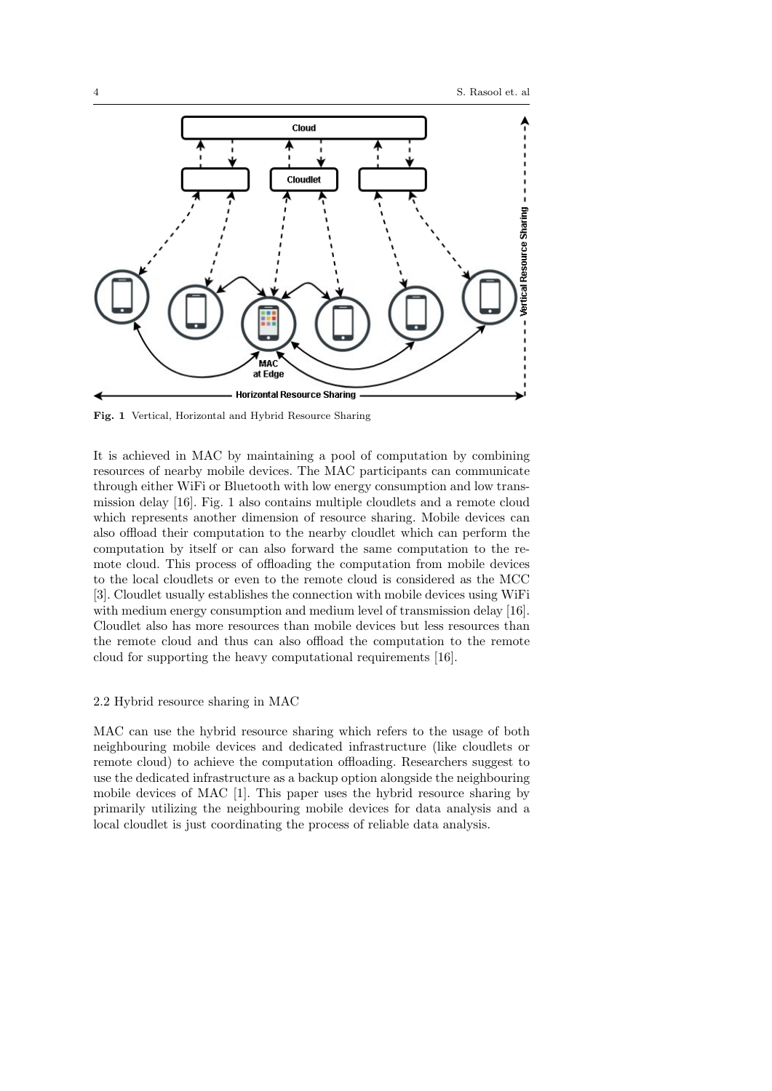

Fig. 1 Vertical, Horizontal and Hybrid Resource Sharing

It is achieved in MAC by maintaining a pool of computation by combining resources of nearby mobile devices. The MAC participants can communicate through either WiFi or Bluetooth with low energy consumption and low transmission delay [16]. Fig. 1 also contains multiple cloudlets and a remote cloud which represents another dimension of resource sharing. Mobile devices can also offload their computation to the nearby cloudlet which can perform the computation by itself or can also forward the same computation to the remote cloud. This process of offloading the computation from mobile devices to the local cloudlets or even to the remote cloud is considered as the MCC [3]. Cloudlet usually establishes the connection with mobile devices using WiFi with medium energy consumption and medium level of transmission delay [16]. Cloudlet also has more resources than mobile devices but less resources than the remote cloud and thus can also offload the computation to the remote cloud for supporting the heavy computational requirements [16].

# 2.2 Hybrid resource sharing in MAC

MAC can use the hybrid resource sharing which refers to the usage of both neighbouring mobile devices and dedicated infrastructure (like cloudlets or remote cloud) to achieve the computation offloading. Researchers suggest to use the dedicated infrastructure as a backup option alongside the neighbouring mobile devices of MAC [1]. This paper uses the hybrid resource sharing by primarily utilizing the neighbouring mobile devices for data analysis and a local cloudlet is just coordinating the process of reliable data analysis.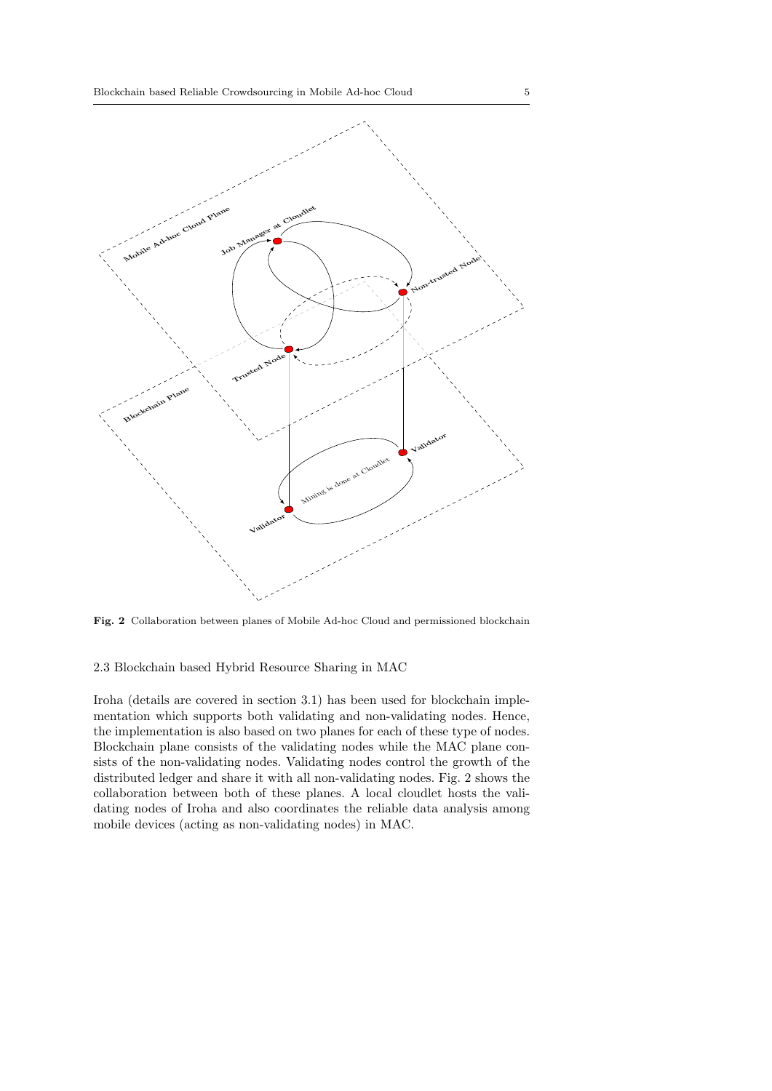

Fig. 2 Collaboration between planes of Mobile Ad-hoc Cloud and permissioned blockchain

2.3 Blockchain based Hybrid Resource Sharing in MAC

Iroha (details are covered in section 3.1) has been used for blockchain implementation which supports both validating and non-validating nodes. Hence, the implementation is also based on two planes for each of these type of nodes. Blockchain plane consists of the validating nodes while the MAC plane consists of the non-validating nodes. Validating nodes control the growth of the distributed ledger and share it with all non-validating nodes. Fig. 2 shows the collaboration between both of these planes. A local cloudlet hosts the validating nodes of Iroha and also coordinates the reliable data analysis among mobile devices (acting as non-validating nodes) in MAC.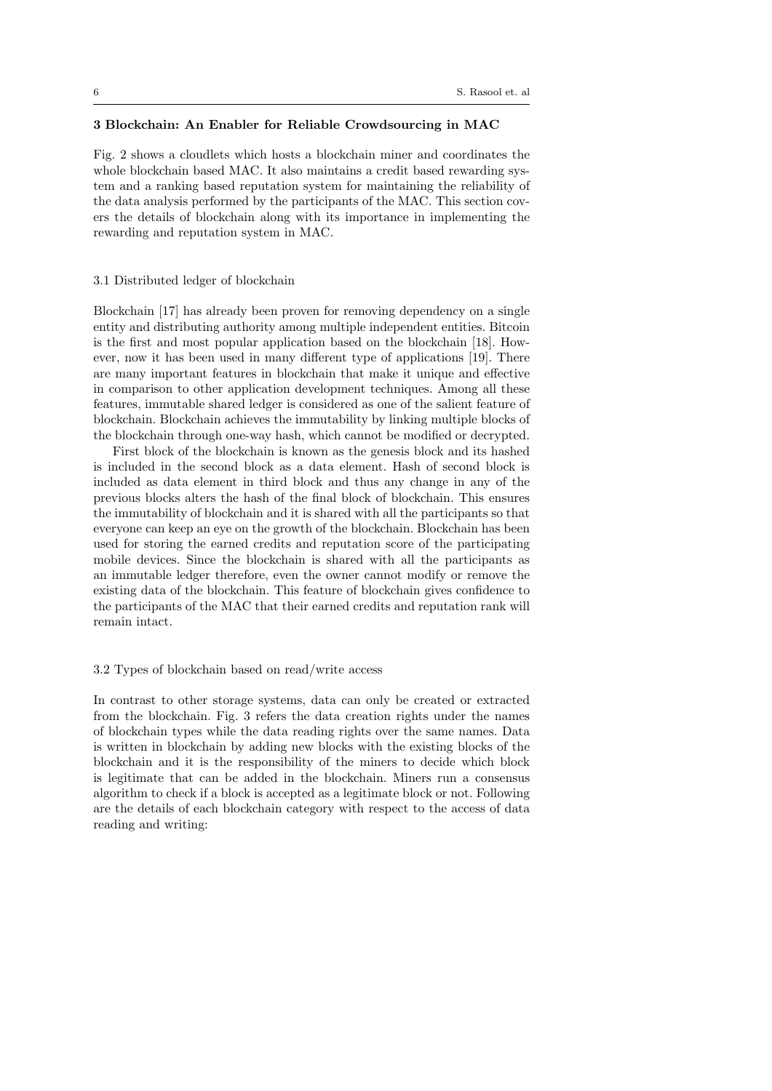# 3 Blockchain: An Enabler for Reliable Crowdsourcing in MAC

Fig. 2 shows a cloudlets which hosts a blockchain miner and coordinates the whole blockchain based MAC. It also maintains a credit based rewarding system and a ranking based reputation system for maintaining the reliability of the data analysis performed by the participants of the MAC. This section covers the details of blockchain along with its importance in implementing the rewarding and reputation system in MAC.

# 3.1 Distributed ledger of blockchain

Blockchain [17] has already been proven for removing dependency on a single entity and distributing authority among multiple independent entities. Bitcoin is the first and most popular application based on the blockchain [18]. However, now it has been used in many different type of applications [19]. There are many important features in blockchain that make it unique and effective in comparison to other application development techniques. Among all these features, immutable shared ledger is considered as one of the salient feature of blockchain. Blockchain achieves the immutability by linking multiple blocks of the blockchain through one-way hash, which cannot be modified or decrypted.

First block of the blockchain is known as the genesis block and its hashed is included in the second block as a data element. Hash of second block is included as data element in third block and thus any change in any of the previous blocks alters the hash of the final block of blockchain. This ensures the immutability of blockchain and it is shared with all the participants so that everyone can keep an eye on the growth of the blockchain. Blockchain has been used for storing the earned credits and reputation score of the participating mobile devices. Since the blockchain is shared with all the participants as an immutable ledger therefore, even the owner cannot modify or remove the existing data of the blockchain. This feature of blockchain gives confidence to the participants of the MAC that their earned credits and reputation rank will remain intact.

#### 3.2 Types of blockchain based on read/write access

In contrast to other storage systems, data can only be created or extracted from the blockchain. Fig. 3 refers the data creation rights under the names of blockchain types while the data reading rights over the same names. Data is written in blockchain by adding new blocks with the existing blocks of the blockchain and it is the responsibility of the miners to decide which block is legitimate that can be added in the blockchain. Miners run a consensus algorithm to check if a block is accepted as a legitimate block or not. Following are the details of each blockchain category with respect to the access of data reading and writing: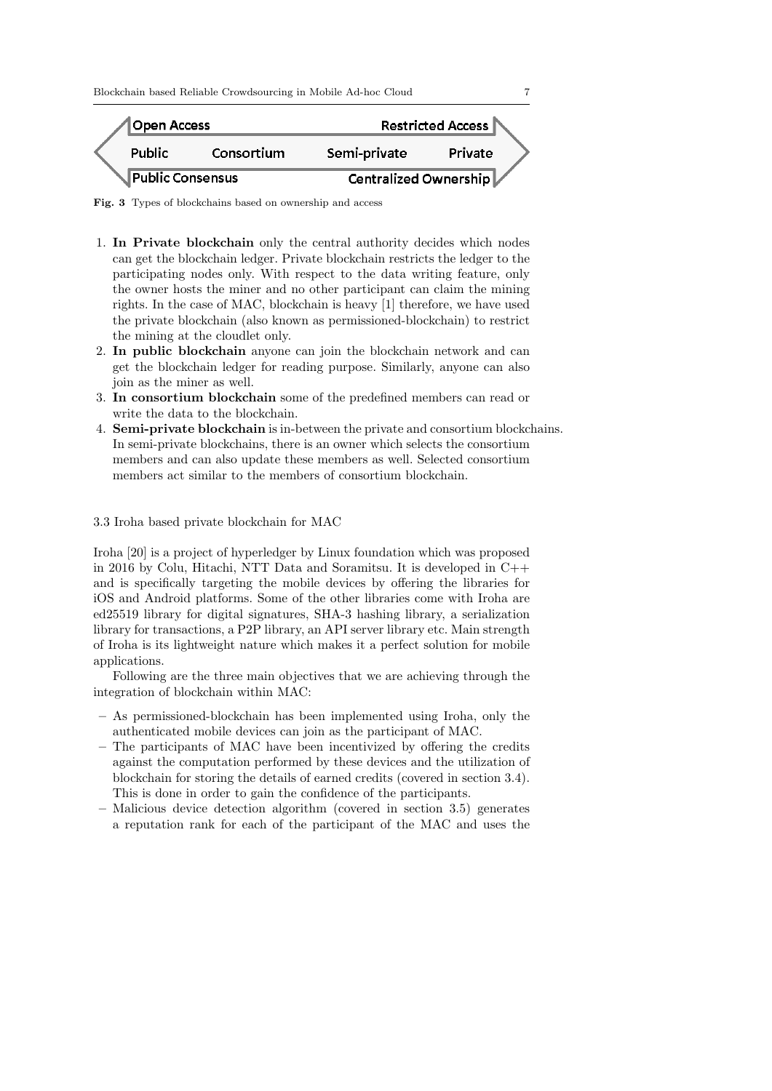Blockchain based Reliable Crowdsourcing in Mobile Ad-hoc Cloud 7



Fig. 3 Types of blockchains based on ownership and access

- 1. In Private blockchain only the central authority decides which nodes can get the blockchain ledger. Private blockchain restricts the ledger to the participating nodes only. With respect to the data writing feature, only the owner hosts the miner and no other participant can claim the mining rights. In the case of MAC, blockchain is heavy [1] therefore, we have used the private blockchain (also known as permissioned-blockchain) to restrict the mining at the cloudlet only.
- 2. In public blockchain anyone can join the blockchain network and can get the blockchain ledger for reading purpose. Similarly, anyone can also join as the miner as well.
- 3. In consortium blockchain some of the predefined members can read or write the data to the blockchain.
- 4. Semi-private blockchain is in-between the private and consortium blockchains. In semi-private blockchains, there is an owner which selects the consortium members and can also update these members as well. Selected consortium members act similar to the members of consortium blockchain.

3.3 Iroha based private blockchain for MAC

Iroha [20] is a project of hyperledger by Linux foundation which was proposed in 2016 by Colu, Hitachi, NTT Data and Soramitsu. It is developed in C++ and is specifically targeting the mobile devices by offering the libraries for iOS and Android platforms. Some of the other libraries come with Iroha are ed25519 library for digital signatures, SHA-3 hashing library, a serialization library for transactions, a P2P library, an API server library etc. Main strength of Iroha is its lightweight nature which makes it a perfect solution for mobile applications.

Following are the three main objectives that we are achieving through the integration of blockchain within MAC:

- As permissioned-blockchain has been implemented using Iroha, only the authenticated mobile devices can join as the participant of MAC.
- The participants of MAC have been incentivized by offering the credits against the computation performed by these devices and the utilization of blockchain for storing the details of earned credits (covered in section 3.4). This is done in order to gain the confidence of the participants.
- Malicious device detection algorithm (covered in section 3.5) generates a reputation rank for each of the participant of the MAC and uses the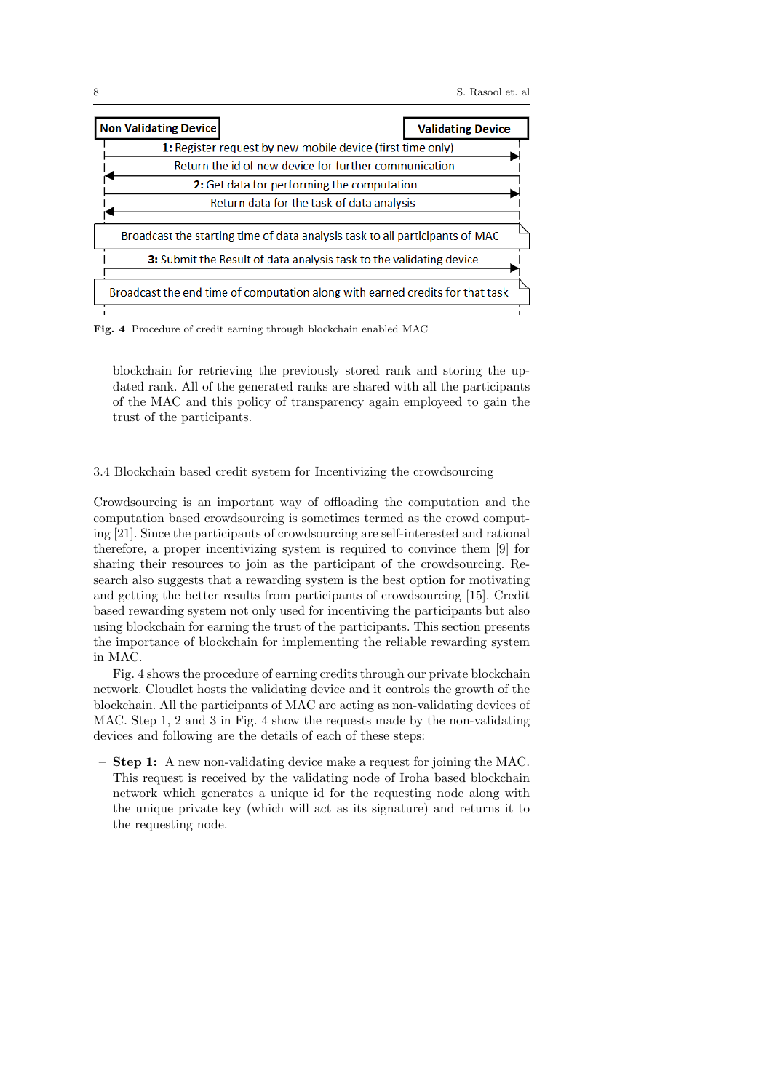

Fig. 4 Procedure of credit earning through blockchain enabled MAC

blockchain for retrieving the previously stored rank and storing the updated rank. All of the generated ranks are shared with all the participants of the MAC and this policy of transparency again employeed to gain the trust of the participants.

#### 3.4 Blockchain based credit system for Incentivizing the crowdsourcing

Crowdsourcing is an important way of offloading the computation and the computation based crowdsourcing is sometimes termed as the crowd computing [21]. Since the participants of crowdsourcing are self-interested and rational therefore, a proper incentivizing system is required to convince them [9] for sharing their resources to join as the participant of the crowdsourcing. Research also suggests that a rewarding system is the best option for motivating and getting the better results from participants of crowdsourcing [15]. Credit based rewarding system not only used for incentiving the participants but also using blockchain for earning the trust of the participants. This section presents the importance of blockchain for implementing the reliable rewarding system in MAC.

Fig. 4 shows the procedure of earning credits through our private blockchain network. Cloudlet hosts the validating device and it controls the growth of the blockchain. All the participants of MAC are acting as non-validating devices of MAC. Step 1, 2 and 3 in Fig. 4 show the requests made by the non-validating devices and following are the details of each of these steps:

– Step 1: A new non-validating device make a request for joining the MAC. This request is received by the validating node of Iroha based blockchain network which generates a unique id for the requesting node along with the unique private key (which will act as its signature) and returns it to the requesting node.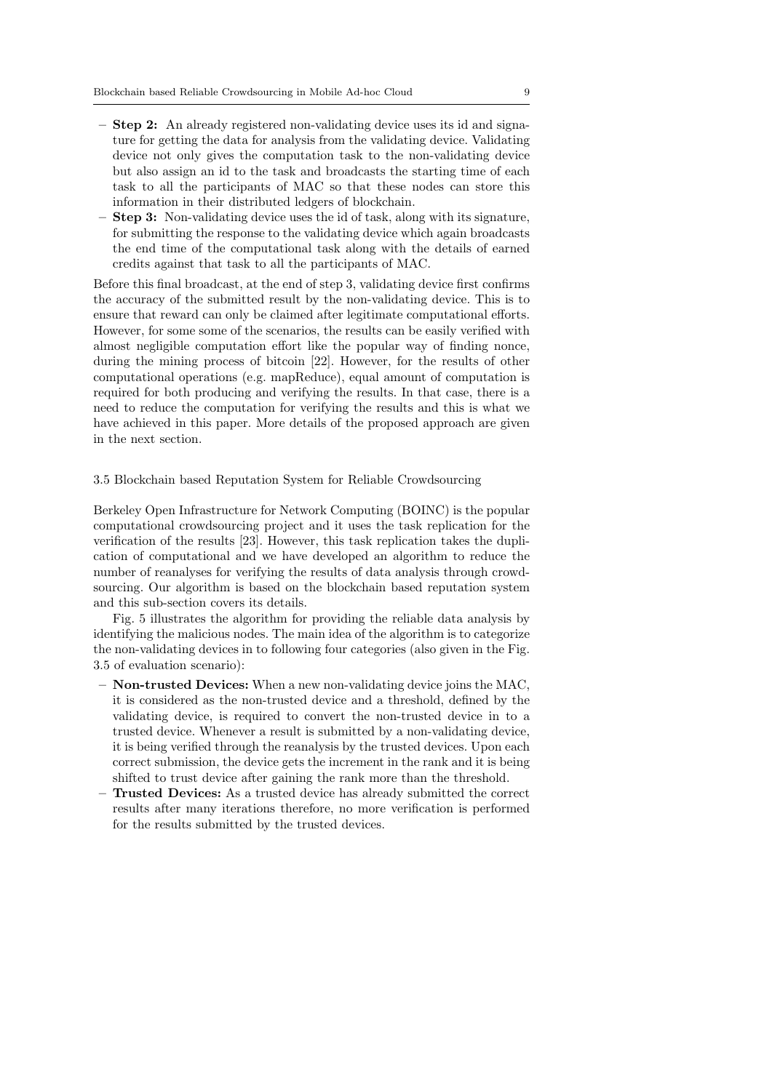- Step 2: An already registered non-validating device uses its id and signature for getting the data for analysis from the validating device. Validating device not only gives the computation task to the non-validating device but also assign an id to the task and broadcasts the starting time of each task to all the participants of MAC so that these nodes can store this information in their distributed ledgers of blockchain.
- Step 3: Non-validating device uses the id of task, along with its signature, for submitting the response to the validating device which again broadcasts the end time of the computational task along with the details of earned credits against that task to all the participants of MAC.

Before this final broadcast, at the end of step 3, validating device first confirms the accuracy of the submitted result by the non-validating device. This is to ensure that reward can only be claimed after legitimate computational efforts. However, for some some of the scenarios, the results can be easily verified with almost negligible computation effort like the popular way of finding nonce, during the mining process of bitcoin [22]. However, for the results of other computational operations (e.g. mapReduce), equal amount of computation is required for both producing and verifying the results. In that case, there is a need to reduce the computation for verifying the results and this is what we have achieved in this paper. More details of the proposed approach are given in the next section.

## 3.5 Blockchain based Reputation System for Reliable Crowdsourcing

Berkeley Open Infrastructure for Network Computing (BOINC) is the popular computational crowdsourcing project and it uses the task replication for the verification of the results [23]. However, this task replication takes the duplication of computational and we have developed an algorithm to reduce the number of reanalyses for verifying the results of data analysis through crowdsourcing. Our algorithm is based on the blockchain based reputation system and this sub-section covers its details.

Fig. 5 illustrates the algorithm for providing the reliable data analysis by identifying the malicious nodes. The main idea of the algorithm is to categorize the non-validating devices in to following four categories (also given in the Fig. 3.5 of evaluation scenario):

- Non-trusted Devices: When a new non-validating device joins the MAC, it is considered as the non-trusted device and a threshold, defined by the validating device, is required to convert the non-trusted device in to a trusted device. Whenever a result is submitted by a non-validating device, it is being verified through the reanalysis by the trusted devices. Upon each correct submission, the device gets the increment in the rank and it is being shifted to trust device after gaining the rank more than the threshold.
- Trusted Devices: As a trusted device has already submitted the correct results after many iterations therefore, no more verification is performed for the results submitted by the trusted devices.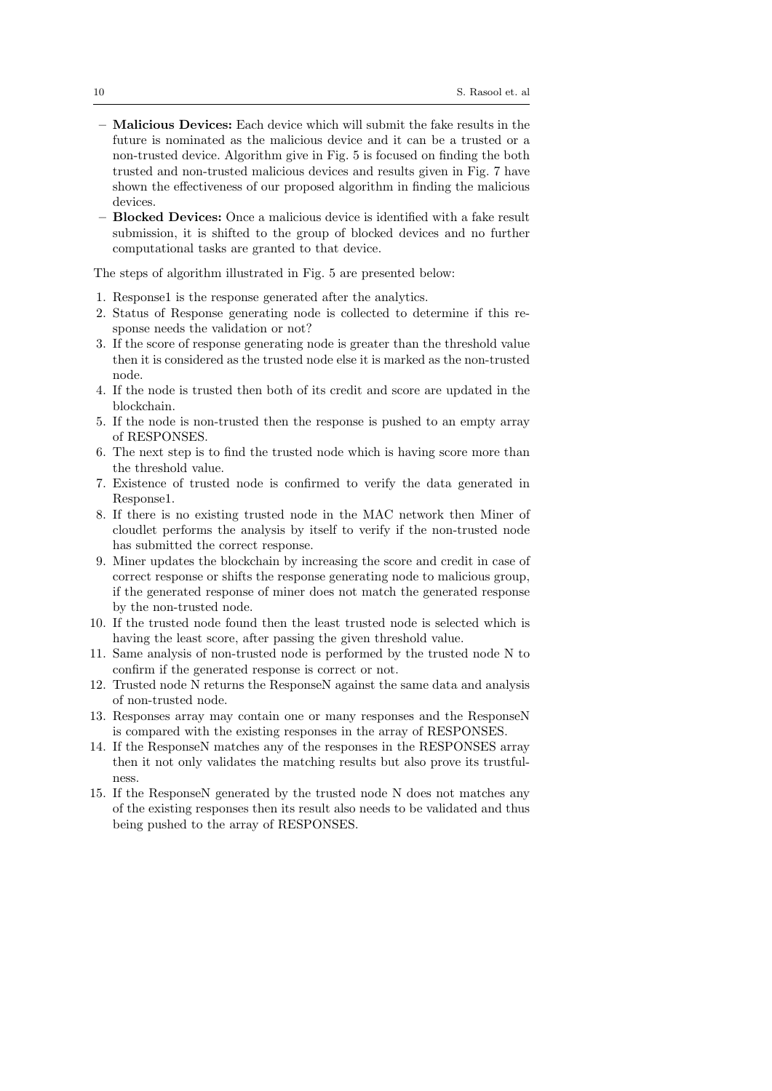- Malicious Devices: Each device which will submit the fake results in the future is nominated as the malicious device and it can be a trusted or a non-trusted device. Algorithm give in Fig. 5 is focused on finding the both trusted and non-trusted malicious devices and results given in Fig. 7 have shown the effectiveness of our proposed algorithm in finding the malicious devices.
- Blocked Devices: Once a malicious device is identified with a fake result submission, it is shifted to the group of blocked devices and no further computational tasks are granted to that device.

The steps of algorithm illustrated in Fig. 5 are presented below:

- 1. Response1 is the response generated after the analytics.
- 2. Status of Response generating node is collected to determine if this response needs the validation or not?
- 3. If the score of response generating node is greater than the threshold value then it is considered as the trusted node else it is marked as the non-trusted node.
- 4. If the node is trusted then both of its credit and score are updated in the blockchain.
- 5. If the node is non-trusted then the response is pushed to an empty array of RESPONSES.
- 6. The next step is to find the trusted node which is having score more than the threshold value.
- 7. Existence of trusted node is confirmed to verify the data generated in Response1.
- 8. If there is no existing trusted node in the MAC network then Miner of cloudlet performs the analysis by itself to verify if the non-trusted node has submitted the correct response.
- 9. Miner updates the blockchain by increasing the score and credit in case of correct response or shifts the response generating node to malicious group, if the generated response of miner does not match the generated response by the non-trusted node.
- 10. If the trusted node found then the least trusted node is selected which is having the least score, after passing the given threshold value.
- 11. Same analysis of non-trusted node is performed by the trusted node N to confirm if the generated response is correct or not.
- 12. Trusted node N returns the ResponseN against the same data and analysis of non-trusted node.
- 13. Responses array may contain one or many responses and the ResponseN is compared with the existing responses in the array of RESPONSES.
- 14. If the ResponseN matches any of the responses in the RESPONSES array then it not only validates the matching results but also prove its trustfulness.
- 15. If the ResponseN generated by the trusted node N does not matches any of the existing responses then its result also needs to be validated and thus being pushed to the array of RESPONSES.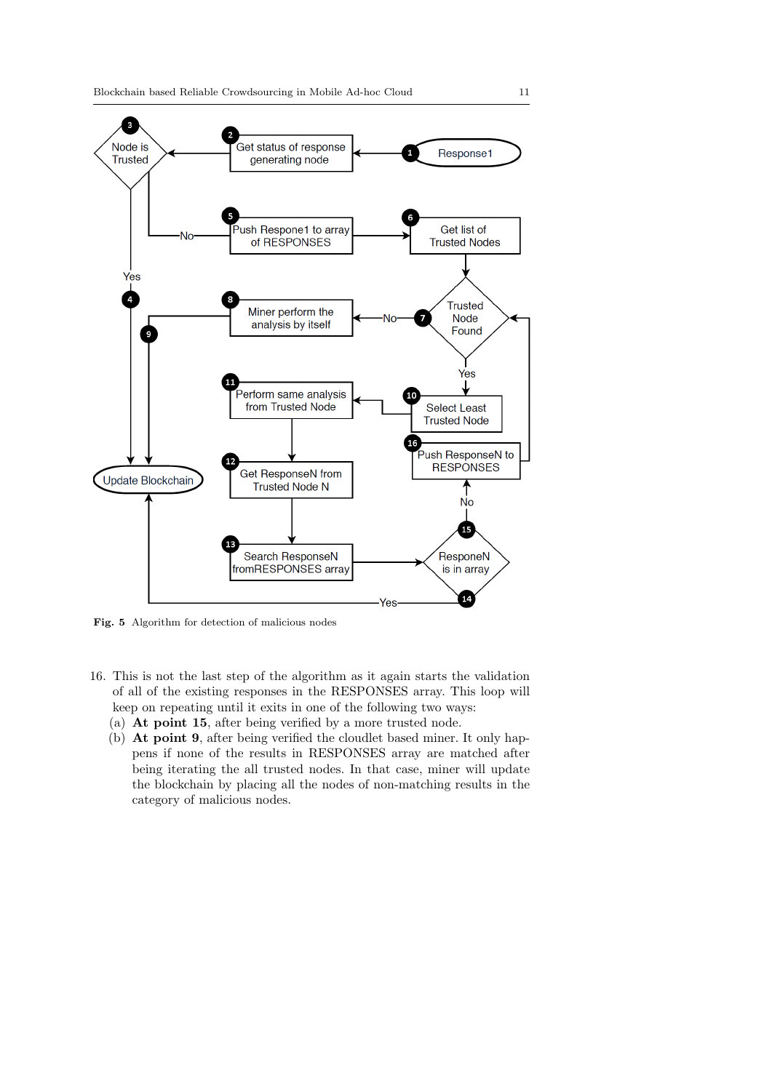

Fig. 5 Algorithm for detection of malicious nodes

- 16. This is not the last step of the algorithm as it again starts the validation of all of the existing responses in the RESPONSES array. This loop will keep on repeating until it exits in one of the following two ways:
	- (a) At point 15, after being verified by a more trusted node.
	- (b) At point 9, after being verified the cloudlet based miner. It only happens if none of the results in RESPONSES array are matched after being iterating the all trusted nodes. In that case, miner will update the blockchain by placing all the nodes of non-matching results in the category of malicious nodes.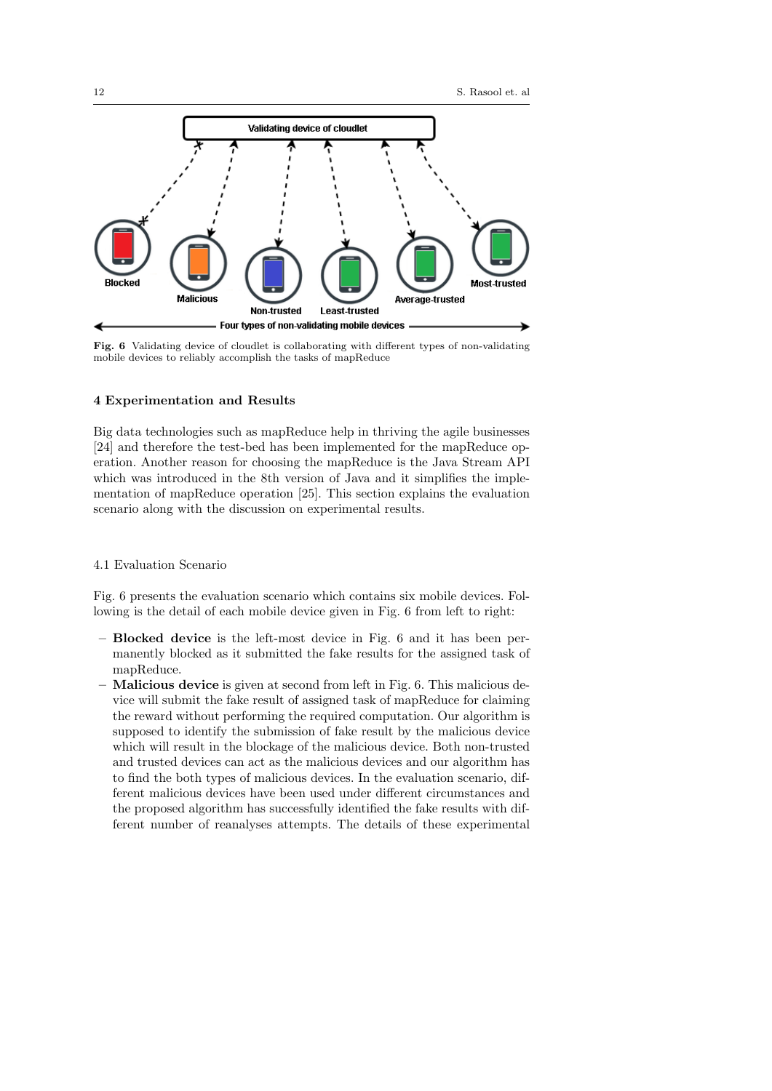

Fig. 6 Validating device of cloudlet is collaborating with different types of non-validating mobile devices to reliably accomplish the tasks of mapReduce

## 4 Experimentation and Results

Big data technologies such as mapReduce help in thriving the agile businesses [24] and therefore the test-bed has been implemented for the mapReduce operation. Another reason for choosing the mapReduce is the Java Stream API which was introduced in the 8th version of Java and it simplifies the implementation of mapReduce operation [25]. This section explains the evaluation scenario along with the discussion on experimental results.

## 4.1 Evaluation Scenario

Fig. 6 presents the evaluation scenario which contains six mobile devices. Following is the detail of each mobile device given in Fig. 6 from left to right:

- Blocked device is the left-most device in Fig. 6 and it has been permanently blocked as it submitted the fake results for the assigned task of mapReduce.
- Malicious device is given at second from left in Fig. 6. This malicious device will submit the fake result of assigned task of mapReduce for claiming the reward without performing the required computation. Our algorithm is supposed to identify the submission of fake result by the malicious device which will result in the blockage of the malicious device. Both non-trusted and trusted devices can act as the malicious devices and our algorithm has to find the both types of malicious devices. In the evaluation scenario, different malicious devices have been used under different circumstances and the proposed algorithm has successfully identified the fake results with different number of reanalyses attempts. The details of these experimental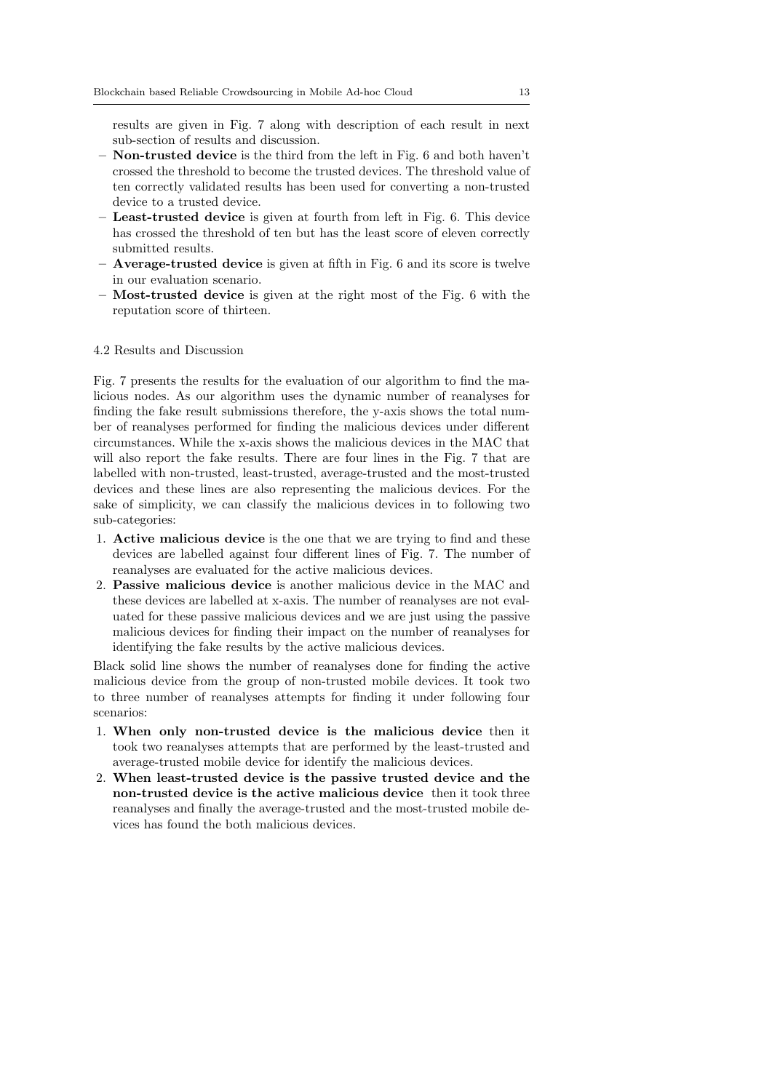results are given in Fig. 7 along with description of each result in next sub-section of results and discussion.

- $-$  **Non-trusted device** is the third from the left in Fig. 6 and both haven't crossed the threshold to become the trusted devices. The threshold value of ten correctly validated results has been used for converting a non-trusted device to a trusted device.
- Least-trusted device is given at fourth from left in Fig. 6. This device has crossed the threshold of ten but has the least score of eleven correctly submitted results.
- Average-trusted device is given at fifth in Fig. 6 and its score is twelve in our evaluation scenario.
- Most-trusted device is given at the right most of the Fig. 6 with the reputation score of thirteen.

## 4.2 Results and Discussion

Fig. 7 presents the results for the evaluation of our algorithm to find the malicious nodes. As our algorithm uses the dynamic number of reanalyses for finding the fake result submissions therefore, the y-axis shows the total number of reanalyses performed for finding the malicious devices under different circumstances. While the x-axis shows the malicious devices in the MAC that will also report the fake results. There are four lines in the Fig. 7 that are labelled with non-trusted, least-trusted, average-trusted and the most-trusted devices and these lines are also representing the malicious devices. For the sake of simplicity, we can classify the malicious devices in to following two sub-categories:

- 1. Active malicious device is the one that we are trying to find and these devices are labelled against four different lines of Fig. 7. The number of reanalyses are evaluated for the active malicious devices.
- 2. Passive malicious device is another malicious device in the MAC and these devices are labelled at x-axis. The number of reanalyses are not evaluated for these passive malicious devices and we are just using the passive malicious devices for finding their impact on the number of reanalyses for identifying the fake results by the active malicious devices.

Black solid line shows the number of reanalyses done for finding the active malicious device from the group of non-trusted mobile devices. It took two to three number of reanalyses attempts for finding it under following four scenarios:

- 1. When only non-trusted device is the malicious device then it took two reanalyses attempts that are performed by the least-trusted and average-trusted mobile device for identify the malicious devices.
- 2. When least-trusted device is the passive trusted device and the non-trusted device is the active malicious device then it took three reanalyses and finally the average-trusted and the most-trusted mobile devices has found the both malicious devices.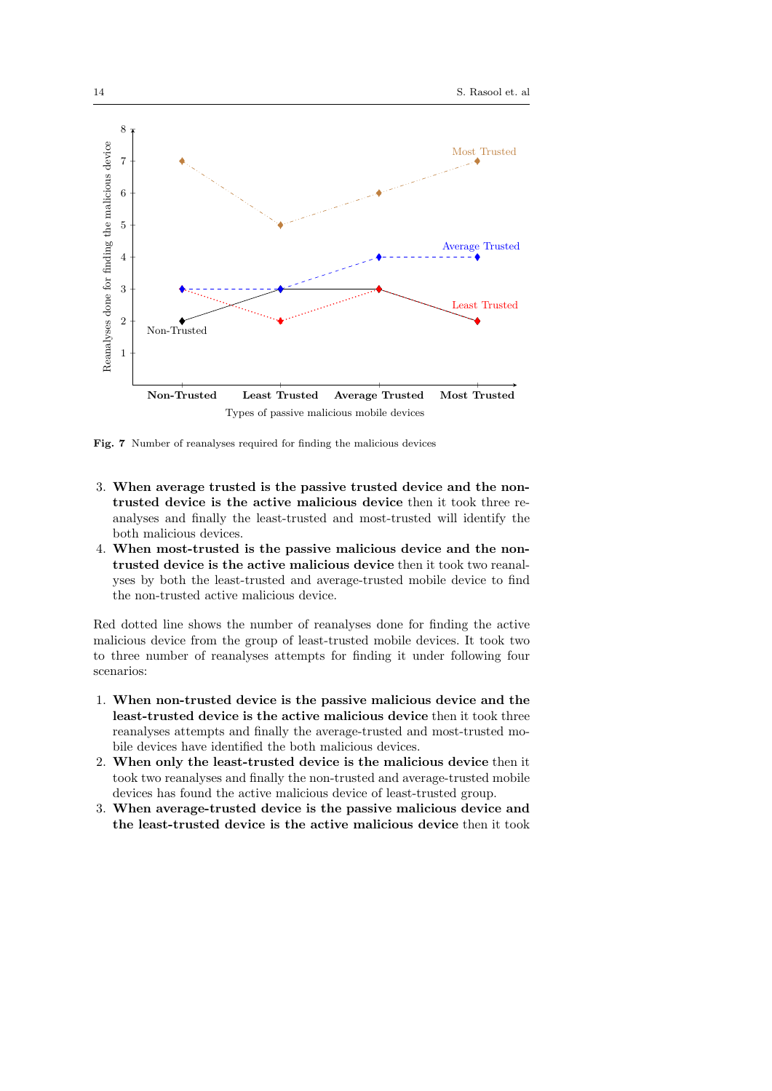

Fig. 7 Number of reanalyses required for finding the malicious devices

- 3. When average trusted is the passive trusted device and the nontrusted device is the active malicious device then it took three reanalyses and finally the least-trusted and most-trusted will identify the both malicious devices.
- 4. When most-trusted is the passive malicious device and the nontrusted device is the active malicious device then it took two reanalyses by both the least-trusted and average-trusted mobile device to find the non-trusted active malicious device.

Red dotted line shows the number of reanalyses done for finding the active malicious device from the group of least-trusted mobile devices. It took two to three number of reanalyses attempts for finding it under following four scenarios:

- 1. When non-trusted device is the passive malicious device and the least-trusted device is the active malicious device then it took three reanalyses attempts and finally the average-trusted and most-trusted mobile devices have identified the both malicious devices.
- 2. When only the least-trusted device is the malicious device then it took two reanalyses and finally the non-trusted and average-trusted mobile devices has found the active malicious device of least-trusted group.
- 3. When average-trusted device is the passive malicious device and the least-trusted device is the active malicious device then it took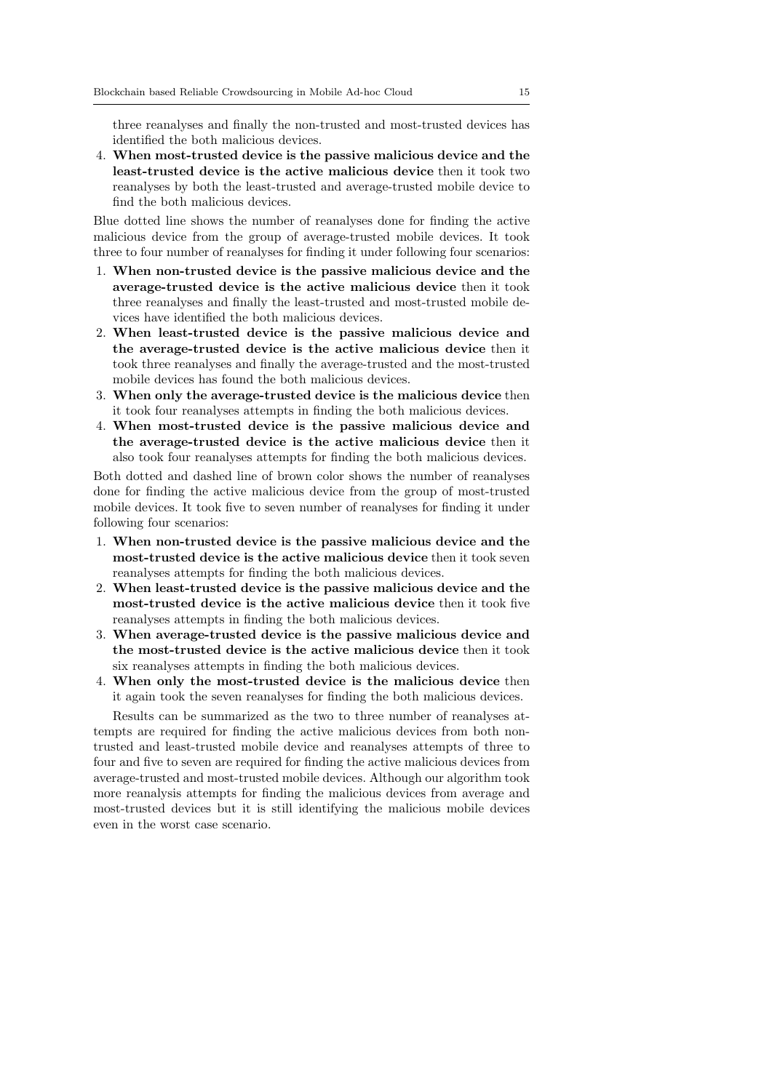three reanalyses and finally the non-trusted and most-trusted devices has identified the both malicious devices.

4. When most-trusted device is the passive malicious device and the least-trusted device is the active malicious device then it took two reanalyses by both the least-trusted and average-trusted mobile device to find the both malicious devices.

Blue dotted line shows the number of reanalyses done for finding the active malicious device from the group of average-trusted mobile devices. It took three to four number of reanalyses for finding it under following four scenarios:

- 1. When non-trusted device is the passive malicious device and the average-trusted device is the active malicious device then it took three reanalyses and finally the least-trusted and most-trusted mobile devices have identified the both malicious devices.
- 2. When least-trusted device is the passive malicious device and the average-trusted device is the active malicious device then it took three reanalyses and finally the average-trusted and the most-trusted mobile devices has found the both malicious devices.
- 3. When only the average-trusted device is the malicious device then it took four reanalyses attempts in finding the both malicious devices.
- 4. When most-trusted device is the passive malicious device and the average-trusted device is the active malicious device then it also took four reanalyses attempts for finding the both malicious devices.

Both dotted and dashed line of brown color shows the number of reanalyses done for finding the active malicious device from the group of most-trusted mobile devices. It took five to seven number of reanalyses for finding it under following four scenarios:

- 1. When non-trusted device is the passive malicious device and the most-trusted device is the active malicious device then it took seven reanalyses attempts for finding the both malicious devices.
- 2. When least-trusted device is the passive malicious device and the most-trusted device is the active malicious device then it took five reanalyses attempts in finding the both malicious devices.
- 3. When average-trusted device is the passive malicious device and the most-trusted device is the active malicious device then it took six reanalyses attempts in finding the both malicious devices.
- 4. When only the most-trusted device is the malicious device then it again took the seven reanalyses for finding the both malicious devices.

Results can be summarized as the two to three number of reanalyses attempts are required for finding the active malicious devices from both nontrusted and least-trusted mobile device and reanalyses attempts of three to four and five to seven are required for finding the active malicious devices from average-trusted and most-trusted mobile devices. Although our algorithm took more reanalysis attempts for finding the malicious devices from average and most-trusted devices but it is still identifying the malicious mobile devices even in the worst case scenario.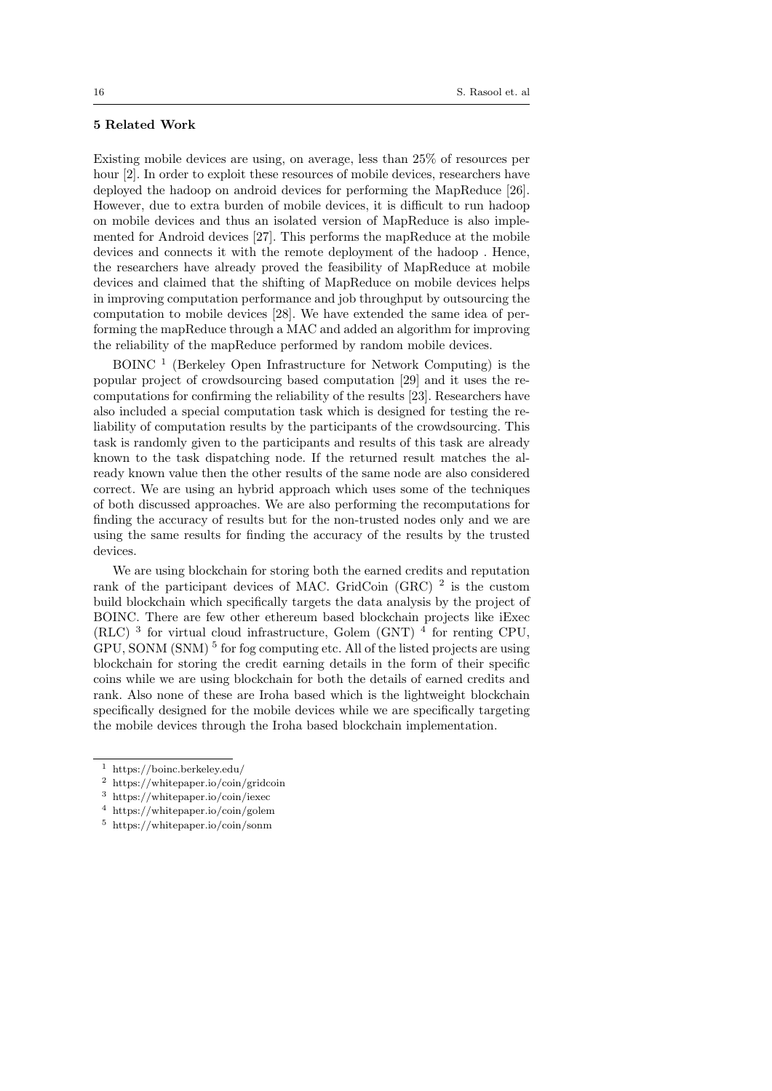# 5 Related Work

Existing mobile devices are using, on average, less than 25% of resources per hour [2]. In order to exploit these resources of mobile devices, researchers have deployed the hadoop on android devices for performing the MapReduce [26]. However, due to extra burden of mobile devices, it is difficult to run hadoop on mobile devices and thus an isolated version of MapReduce is also implemented for Android devices [27]. This performs the mapReduce at the mobile devices and connects it with the remote deployment of the hadoop . Hence, the researchers have already proved the feasibility of MapReduce at mobile devices and claimed that the shifting of MapReduce on mobile devices helps in improving computation performance and job throughput by outsourcing the computation to mobile devices [28]. We have extended the same idea of performing the mapReduce through a MAC and added an algorithm for improving the reliability of the mapReduce performed by random mobile devices.

BOINC <sup>1</sup> (Berkeley Open Infrastructure for Network Computing) is the popular project of crowdsourcing based computation [29] and it uses the recomputations for confirming the reliability of the results [23]. Researchers have also included a special computation task which is designed for testing the reliability of computation results by the participants of the crowdsourcing. This task is randomly given to the participants and results of this task are already known to the task dispatching node. If the returned result matches the already known value then the other results of the same node are also considered correct. We are using an hybrid approach which uses some of the techniques of both discussed approaches. We are also performing the recomputations for finding the accuracy of results but for the non-trusted nodes only and we are using the same results for finding the accuracy of the results by the trusted devices.

We are using blockchain for storing both the earned credits and reputation rank of the participant devices of MAC. GridCoin  $(GRC)^2$  is the custom build blockchain which specifically targets the data analysis by the project of BOINC. There are few other ethereum based blockchain projects like iExec (RLC)<sup>3</sup> for virtual cloud infrastructure, Golem (GNT)<sup>4</sup> for renting CPU, GPU, SONM (SNM)<sup>5</sup> for fog computing etc. All of the listed projects are using blockchain for storing the credit earning details in the form of their specific coins while we are using blockchain for both the details of earned credits and rank. Also none of these are Iroha based which is the lightweight blockchain specifically designed for the mobile devices while we are specifically targeting the mobile devices through the Iroha based blockchain implementation.

<sup>1</sup> https://boinc.berkeley.edu/

<sup>2</sup> https://whitepaper.io/coin/gridcoin

<sup>3</sup> https://whitepaper.io/coin/iexec

<sup>4</sup> https://whitepaper.io/coin/golem

<sup>5</sup> https://whitepaper.io/coin/sonm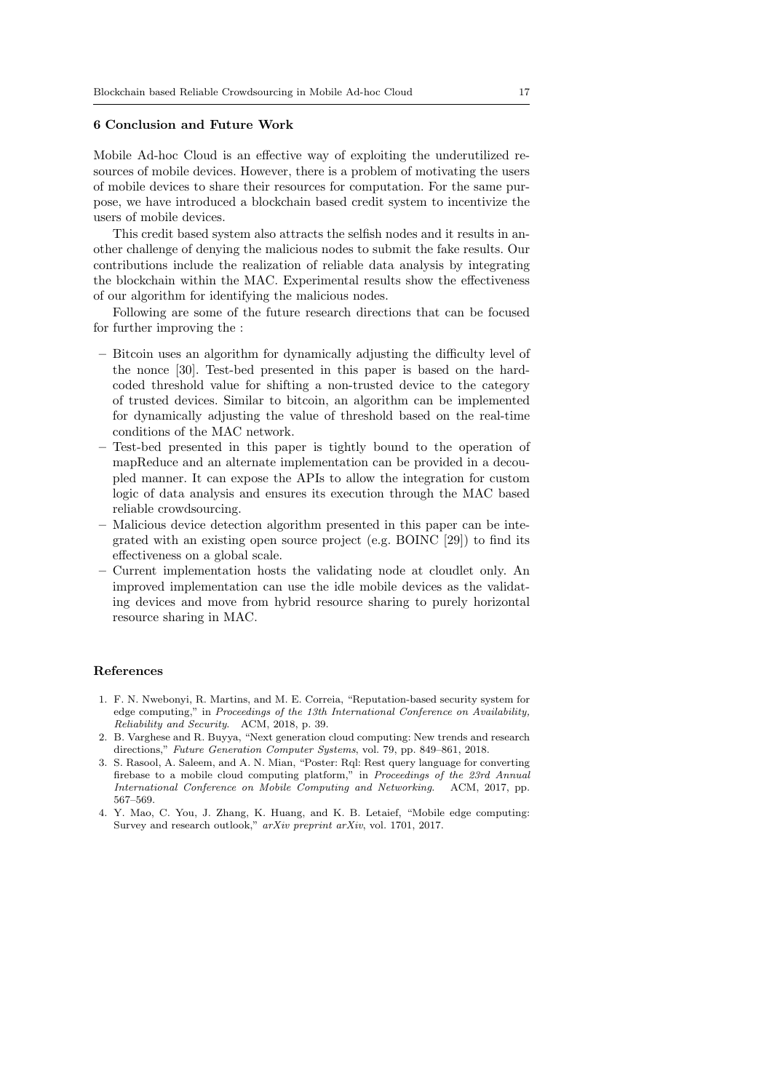# 6 Conclusion and Future Work

Mobile Ad-hoc Cloud is an effective way of exploiting the underutilized resources of mobile devices. However, there is a problem of motivating the users of mobile devices to share their resources for computation. For the same purpose, we have introduced a blockchain based credit system to incentivize the users of mobile devices.

This credit based system also attracts the selfish nodes and it results in another challenge of denying the malicious nodes to submit the fake results. Our contributions include the realization of reliable data analysis by integrating the blockchain within the MAC. Experimental results show the effectiveness of our algorithm for identifying the malicious nodes.

Following are some of the future research directions that can be focused for further improving the :

- Bitcoin uses an algorithm for dynamically adjusting the difficulty level of the nonce [30]. Test-bed presented in this paper is based on the hardcoded threshold value for shifting a non-trusted device to the category of trusted devices. Similar to bitcoin, an algorithm can be implemented for dynamically adjusting the value of threshold based on the real-time conditions of the MAC network.
- Test-bed presented in this paper is tightly bound to the operation of mapReduce and an alternate implementation can be provided in a decoupled manner. It can expose the APIs to allow the integration for custom logic of data analysis and ensures its execution through the MAC based reliable crowdsourcing.
- Malicious device detection algorithm presented in this paper can be integrated with an existing open source project (e.g. BOINC [29]) to find its effectiveness on a global scale.
- Current implementation hosts the validating node at cloudlet only. An improved implementation can use the idle mobile devices as the validating devices and move from hybrid resource sharing to purely horizontal resource sharing in MAC.

#### References

- 1. F. N. Nwebonyi, R. Martins, and M. E. Correia, "Reputation-based security system for edge computing," in Proceedings of the 13th International Conference on Availability, Reliability and Security. ACM, 2018, p. 39.
- 2. B. Varghese and R. Buyya, "Next generation cloud computing: New trends and research directions," Future Generation Computer Systems, vol. 79, pp. 849–861, 2018.
- 3. S. Rasool, A. Saleem, and A. N. Mian, "Poster: Rql: Rest query language for converting firebase to a mobile cloud computing platform," in Proceedings of the 23rd Annual International Conference on Mobile Computing and Networking. ACM, 2017, pp. 567–569.
- 4. Y. Mao, C. You, J. Zhang, K. Huang, and K. B. Letaief, "Mobile edge computing: Survey and research outlook," arXiv preprint arXiv, vol. 1701, 2017.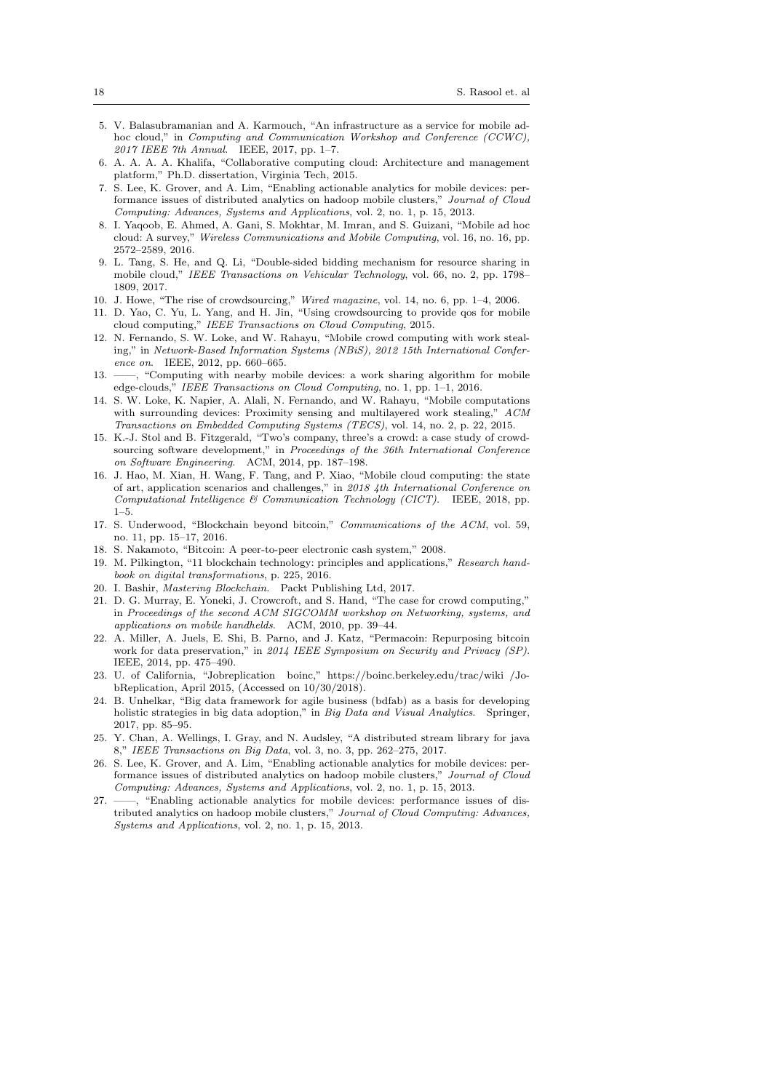- 5. V. Balasubramanian and A. Karmouch, "An infrastructure as a service for mobile adhoc cloud," in Computing and Communication Workshop and Conference (CCWC), 2017 IEEE 7th Annual. IEEE, 2017, pp. 1–7.
- 6. A. A. A. A. Khalifa, "Collaborative computing cloud: Architecture and management platform," Ph.D. dissertation, Virginia Tech, 2015.
- 7. S. Lee, K. Grover, and A. Lim, "Enabling actionable analytics for mobile devices: performance issues of distributed analytics on hadoop mobile clusters," Journal of Cloud Computing: Advances, Systems and Applications, vol. 2, no. 1, p. 15, 2013.
- 8. I. Yaqoob, E. Ahmed, A. Gani, S. Mokhtar, M. Imran, and S. Guizani, "Mobile ad hoc cloud: A survey," Wireless Communications and Mobile Computing, vol. 16, no. 16, pp. 2572–2589, 2016.
- 9. L. Tang, S. He, and Q. Li, "Double-sided bidding mechanism for resource sharing in mobile cloud," IEEE Transactions on Vehicular Technology, vol. 66, no. 2, pp. 1798– 1809, 2017.
- 10. J. Howe, "The rise of crowdsourcing," Wired magazine, vol. 14, no. 6, pp. 1–4, 2006.
- 11. D. Yao, C. Yu, L. Yang, and H. Jin, "Using crowdsourcing to provide qos for mobile cloud computing," IEEE Transactions on Cloud Computing, 2015.
- 12. N. Fernando, S. W. Loke, and W. Rahayu, "Mobile crowd computing with work stealing," in Network-Based Information Systems (NBiS), 2012 15th International Conference on. IEEE, 2012, pp. 660–665.
- 13. ——, "Computing with nearby mobile devices: a work sharing algorithm for mobile edge-clouds," IEEE Transactions on Cloud Computing, no. 1, pp. 1–1, 2016.
- 14. S. W. Loke, K. Napier, A. Alali, N. Fernando, and W. Rahayu, "Mobile computations with surrounding devices: Proximity sensing and multilayered work stealing," ACM Transactions on Embedded Computing Systems (TECS), vol. 14, no. 2, p. 22, 2015.
- 15. K.-J. Stol and B. Fitzgerald, "Two's company, three's a crowd: a case study of crowdsourcing software development," in Proceedings of the 36th International Conference on Software Engineering. ACM, 2014, pp. 187–198.
- 16. J. Hao, M. Xian, H. Wang, F. Tang, and P. Xiao, "Mobile cloud computing: the state of art, application scenarios and challenges," in 2018 4th International Conference on Computational Intelligence & Communication Technology (CICT). IEEE, 2018, pp. 1–5.
- 17. S. Underwood, "Blockchain beyond bitcoin," Communications of the ACM, vol. 59, no. 11, pp. 15–17, 2016.
- 18. S. Nakamoto, "Bitcoin: A peer-to-peer electronic cash system," 2008.
- 19. M. Pilkington, "11 blockchain technology: principles and applications," Research handbook on digital transformations, p. 225, 2016.
- 20. I. Bashir, Mastering Blockchain. Packt Publishing Ltd, 2017.
- 21. D. G. Murray, E. Yoneki, J. Crowcroft, and S. Hand, "The case for crowd computing," in Proceedings of the second ACM SIGCOMM workshop on Networking, systems, and applications on mobile handhelds. ACM, 2010, pp. 39–44.
- 22. A. Miller, A. Juels, E. Shi, B. Parno, and J. Katz, "Permacoin: Repurposing bitcoin work for data preservation," in 2014 IEEE Symposium on Security and Privacy (SP). IEEE, 2014, pp. 475–490.
- 23. U. of California, "Jobreplication boinc," https://boinc.berkeley.edu/trac/wiki /JobReplication, April 2015, (Accessed on 10/30/2018).
- 24. B. Unhelkar, "Big data framework for agile business (bdfab) as a basis for developing holistic strategies in big data adoption," in Big Data and Visual Analytics. Springer, 2017, pp. 85–95.
- 25. Y. Chan, A. Wellings, I. Gray, and N. Audsley, "A distributed stream library for java 8," IEEE Transactions on Big Data, vol. 3, no. 3, pp. 262–275, 2017.
- 26. S. Lee, K. Grover, and A. Lim, "Enabling actionable analytics for mobile devices: performance issues of distributed analytics on hadoop mobile clusters," Journal of Cloud Computing: Advances, Systems and Applications, vol. 2, no. 1, p. 15, 2013.
- 27. ——, "Enabling actionable analytics for mobile devices: performance issues of distributed analytics on hadoop mobile clusters," Journal of Cloud Computing: Advances, Systems and Applications, vol. 2, no. 1, p. 15, 2013.